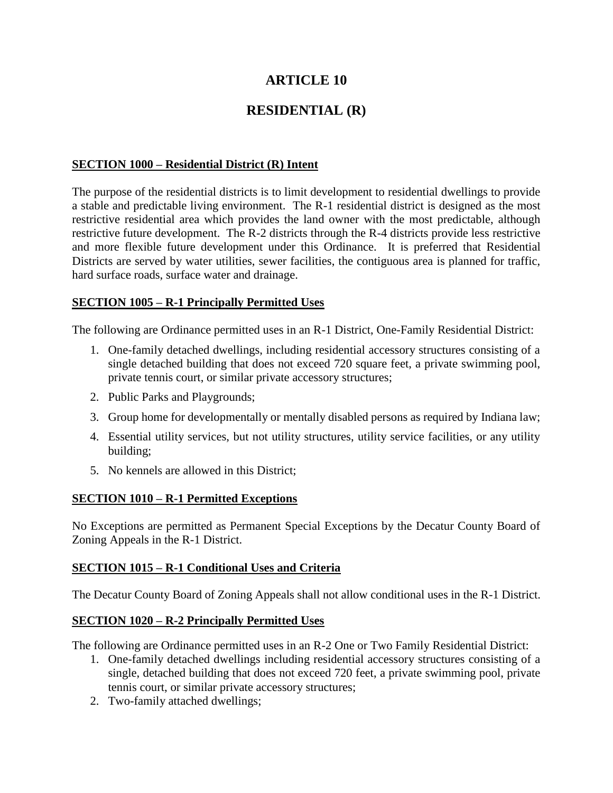# **ARTICLE 10**

# **RESIDENTIAL (R)**

#### **SECTION 1000 – Residential District (R) Intent**

The purpose of the residential districts is to limit development to residential dwellings to provide a stable and predictable living environment. The R-1 residential district is designed as the most restrictive residential area which provides the land owner with the most predictable, although restrictive future development. The R-2 districts through the R-4 districts provide less restrictive and more flexible future development under this Ordinance. It is preferred that Residential Districts are served by water utilities, sewer facilities, the contiguous area is planned for traffic, hard surface roads, surface water and drainage.

#### **SECTION 1005 – R-1 Principally Permitted Uses**

The following are Ordinance permitted uses in an R-1 District, One-Family Residential District:

- 1. One-family detached dwellings, including residential accessory structures consisting of a single detached building that does not exceed 720 square feet, a private swimming pool, private tennis court, or similar private accessory structures;
- 2. Public Parks and Playgrounds;
- 3. Group home for developmentally or mentally disabled persons as required by Indiana law;
- 4. Essential utility services, but not utility structures, utility service facilities, or any utility building;
- 5. No kennels are allowed in this District;

## **SECTION 1010 – R-1 Permitted Exceptions**

No Exceptions are permitted as Permanent Special Exceptions by the Decatur County Board of Zoning Appeals in the R-1 District.

## **SECTION 1015 – R-1 Conditional Uses and Criteria**

The Decatur County Board of Zoning Appeals shall not allow conditional uses in the R-1 District.

#### **SECTION 1020 – R-2 Principally Permitted Uses**

The following are Ordinance permitted uses in an R-2 One or Two Family Residential District:

- 1. One-family detached dwellings including residential accessory structures consisting of a single, detached building that does not exceed 720 feet, a private swimming pool, private tennis court, or similar private accessory structures;
- 2. Two-family attached dwellings;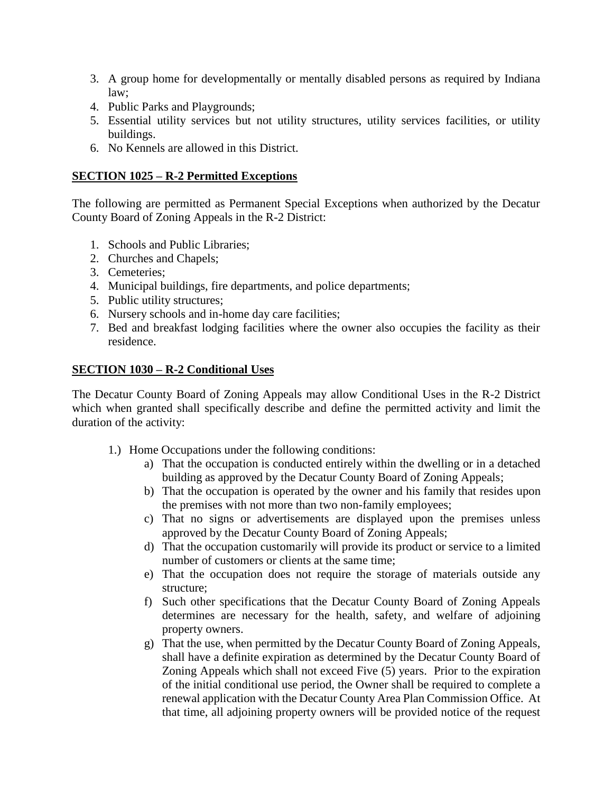- 3. A group home for developmentally or mentally disabled persons as required by Indiana law;
- 4. Public Parks and Playgrounds;
- 5. Essential utility services but not utility structures, utility services facilities, or utility buildings.
- 6. No Kennels are allowed in this District.

#### **SECTION 1025 – R-2 Permitted Exceptions**

The following are permitted as Permanent Special Exceptions when authorized by the Decatur County Board of Zoning Appeals in the R-2 District:

- 1. Schools and Public Libraries;
- 2. Churches and Chapels;
- 3. Cemeteries;
- 4. Municipal buildings, fire departments, and police departments;
- 5. Public utility structures;
- 6. Nursery schools and in-home day care facilities;
- 7. Bed and breakfast lodging facilities where the owner also occupies the facility as their residence.

#### **SECTION 1030 – R-2 Conditional Uses**

The Decatur County Board of Zoning Appeals may allow Conditional Uses in the R-2 District which when granted shall specifically describe and define the permitted activity and limit the duration of the activity:

- 1.) Home Occupations under the following conditions:
	- a) That the occupation is conducted entirely within the dwelling or in a detached building as approved by the Decatur County Board of Zoning Appeals;
	- b) That the occupation is operated by the owner and his family that resides upon the premises with not more than two non-family employees;
	- c) That no signs or advertisements are displayed upon the premises unless approved by the Decatur County Board of Zoning Appeals;
	- d) That the occupation customarily will provide its product or service to a limited number of customers or clients at the same time;
	- e) That the occupation does not require the storage of materials outside any structure;
	- f) Such other specifications that the Decatur County Board of Zoning Appeals determines are necessary for the health, safety, and welfare of adjoining property owners.
	- g) That the use, when permitted by the Decatur County Board of Zoning Appeals, shall have a definite expiration as determined by the Decatur County Board of Zoning Appeals which shall not exceed Five (5) years. Prior to the expiration of the initial conditional use period, the Owner shall be required to complete a renewal application with the Decatur County Area Plan Commission Office. At that time, all adjoining property owners will be provided notice of the request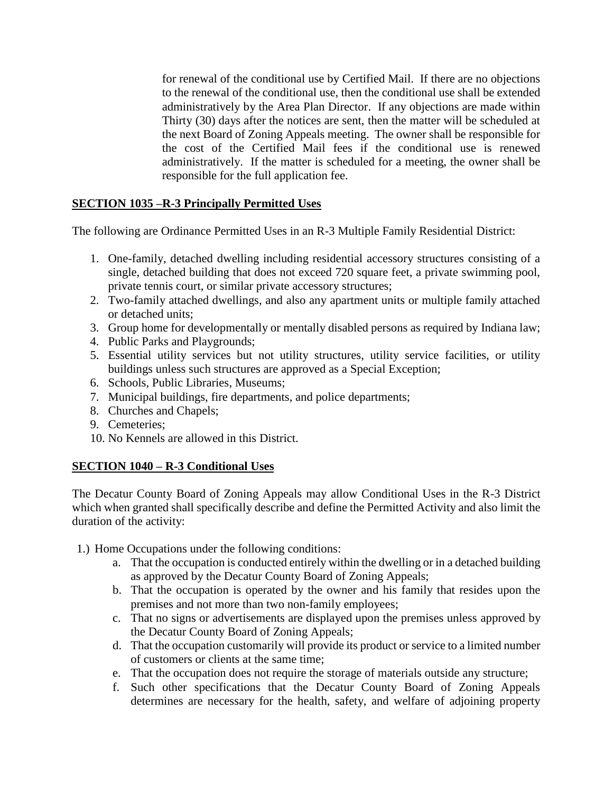for renewal of the conditional use by Certified Mail. If there are no objections to the renewal of the conditional use, then the conditional use shall be extended administratively by the Area Plan Director. If any objections are made within Thirty (30) days after the notices are sent, then the matter will be scheduled at the next Board of Zoning Appeals meeting. The owner shall be responsible for the cost of the Certified Mail fees if the conditional use is renewed administratively. If the matter is scheduled for a meeting, the owner shall be responsible for the full application fee.

# **SECTION 1035 –R-3 Principally Permitted Uses**

The following are Ordinance Permitted Uses in an R-3 Multiple Family Residential District:

- 1. One-family, detached dwelling including residential accessory structures consisting of a single, detached building that does not exceed 720 square feet, a private swimming pool, private tennis court, or similar private accessory structures;
- 2. Two-family attached dwellings, and also any apartment units or multiple family attached or detached units;
- 3. Group home for developmentally or mentally disabled persons as required by Indiana law;
- 4. Public Parks and Playgrounds;
- 5. Essential utility services but not utility structures, utility service facilities, or utility buildings unless such structures are approved as a Special Exception;
- 6. Schools, Public Libraries, Museums;
- 7. Municipal buildings, fire departments, and police departments;
- 8. Churches and Chapels;
- 9. Cemeteries;
- 10. No Kennels are allowed in this District.

## **SECTION 1040 – R-3 Conditional Uses**

The Decatur County Board of Zoning Appeals may allow Conditional Uses in the R-3 District which when granted shall specifically describe and define the Permitted Activity and also limit the duration of the activity:

- 1.) Home Occupations under the following conditions:
	- a. That the occupation is conducted entirely within the dwelling or in a detached building as approved by the Decatur County Board of Zoning Appeals;
	- b. That the occupation is operated by the owner and his family that resides upon the premises and not more than two non-family employees;
	- c. That no signs or advertisements are displayed upon the premises unless approved by the Decatur County Board of Zoning Appeals;
	- d. That the occupation customarily will provide its product or service to a limited number of customers or clients at the same time;
	- e. That the occupation does not require the storage of materials outside any structure;
	- f. Such other specifications that the Decatur County Board of Zoning Appeals determines are necessary for the health, safety, and welfare of adjoining property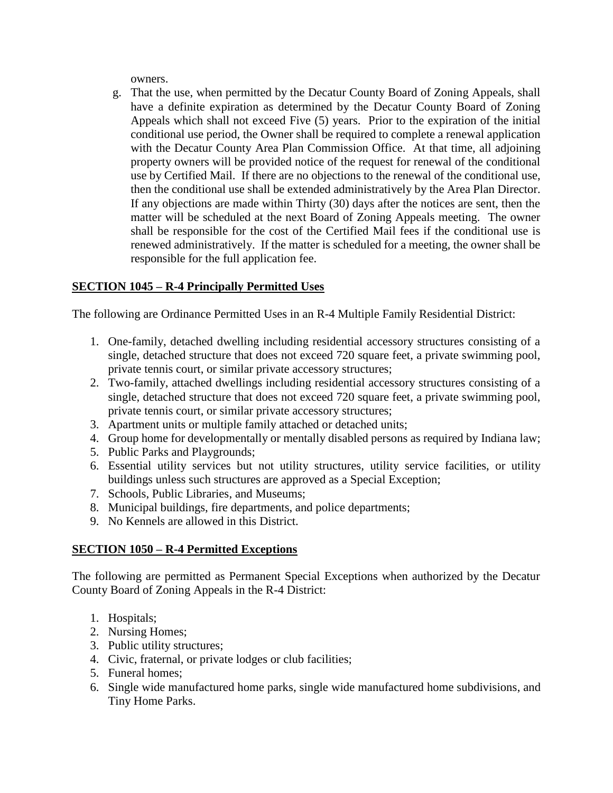owners.

g. That the use, when permitted by the Decatur County Board of Zoning Appeals, shall have a definite expiration as determined by the Decatur County Board of Zoning Appeals which shall not exceed Five (5) years. Prior to the expiration of the initial conditional use period, the Owner shall be required to complete a renewal application with the Decatur County Area Plan Commission Office. At that time, all adjoining property owners will be provided notice of the request for renewal of the conditional use by Certified Mail. If there are no objections to the renewal of the conditional use, then the conditional use shall be extended administratively by the Area Plan Director. If any objections are made within Thirty (30) days after the notices are sent, then the matter will be scheduled at the next Board of Zoning Appeals meeting. The owner shall be responsible for the cost of the Certified Mail fees if the conditional use is renewed administratively. If the matter is scheduled for a meeting, the owner shall be responsible for the full application fee.

# **SECTION 1045 – R-4 Principally Permitted Uses**

The following are Ordinance Permitted Uses in an R-4 Multiple Family Residential District:

- 1. One-family, detached dwelling including residential accessory structures consisting of a single, detached structure that does not exceed 720 square feet, a private swimming pool, private tennis court, or similar private accessory structures;
- 2. Two-family, attached dwellings including residential accessory structures consisting of a single, detached structure that does not exceed 720 square feet, a private swimming pool, private tennis court, or similar private accessory structures;
- 3. Apartment units or multiple family attached or detached units;
- 4. Group home for developmentally or mentally disabled persons as required by Indiana law;
- 5. Public Parks and Playgrounds;
- 6. Essential utility services but not utility structures, utility service facilities, or utility buildings unless such structures are approved as a Special Exception;
- 7. Schools, Public Libraries, and Museums;
- 8. Municipal buildings, fire departments, and police departments;
- 9. No Kennels are allowed in this District.

## **SECTION 1050 – R-4 Permitted Exceptions**

The following are permitted as Permanent Special Exceptions when authorized by the Decatur County Board of Zoning Appeals in the R-4 District:

- 1. Hospitals;
- 2. Nursing Homes;
- 3. Public utility structures;
- 4. Civic, fraternal, or private lodges or club facilities;
- 5. Funeral homes;
- 6. Single wide manufactured home parks, single wide manufactured home subdivisions, and Tiny Home Parks.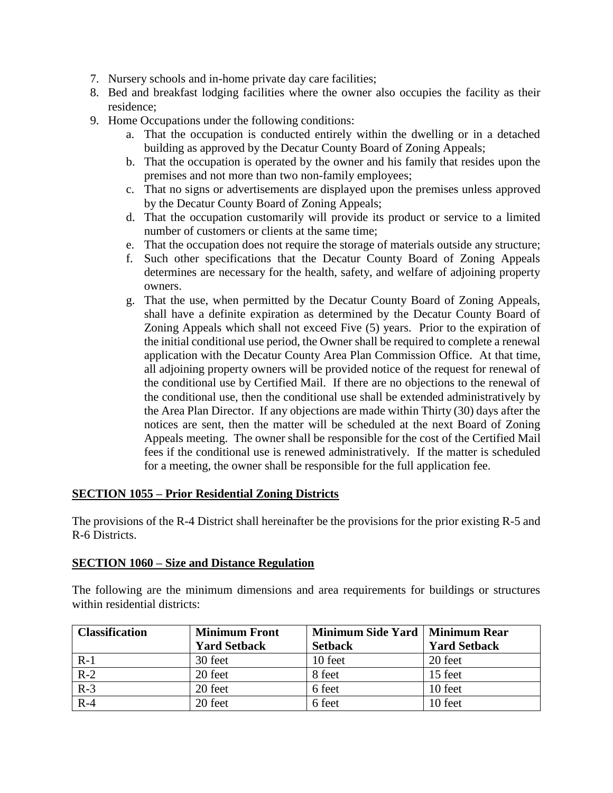- 7. Nursery schools and in-home private day care facilities;
- 8. Bed and breakfast lodging facilities where the owner also occupies the facility as their residence;
- 9. Home Occupations under the following conditions:
	- a. That the occupation is conducted entirely within the dwelling or in a detached building as approved by the Decatur County Board of Zoning Appeals;
	- b. That the occupation is operated by the owner and his family that resides upon the premises and not more than two non-family employees;
	- c. That no signs or advertisements are displayed upon the premises unless approved by the Decatur County Board of Zoning Appeals;
	- d. That the occupation customarily will provide its product or service to a limited number of customers or clients at the same time;
	- e. That the occupation does not require the storage of materials outside any structure;
	- f. Such other specifications that the Decatur County Board of Zoning Appeals determines are necessary for the health, safety, and welfare of adjoining property owners.
	- g. That the use, when permitted by the Decatur County Board of Zoning Appeals, shall have a definite expiration as determined by the Decatur County Board of Zoning Appeals which shall not exceed Five (5) years. Prior to the expiration of the initial conditional use period, the Owner shall be required to complete a renewal application with the Decatur County Area Plan Commission Office. At that time, all adjoining property owners will be provided notice of the request for renewal of the conditional use by Certified Mail. If there are no objections to the renewal of the conditional use, then the conditional use shall be extended administratively by the Area Plan Director. If any objections are made within Thirty (30) days after the notices are sent, then the matter will be scheduled at the next Board of Zoning Appeals meeting. The owner shall be responsible for the cost of the Certified Mail fees if the conditional use is renewed administratively. If the matter is scheduled for a meeting, the owner shall be responsible for the full application fee.

#### **SECTION 1055 – Prior Residential Zoning Districts**

The provisions of the R-4 District shall hereinafter be the provisions for the prior existing R-5 and R-6 Districts.

#### **SECTION 1060 – Size and Distance Regulation**

The following are the minimum dimensions and area requirements for buildings or structures within residential districts:

| <b>Classification</b> | <b>Minimum Front</b> | Minimum Side Yard   Minimum Rear |                     |
|-----------------------|----------------------|----------------------------------|---------------------|
|                       | <b>Yard Setback</b>  | <b>Setback</b>                   | <b>Yard Setback</b> |
| $R-1$                 | 30 feet              | 10 feet                          | 20 feet             |
| $R-2$                 | 20 feet              | 8 feet                           | 15 feet             |
| $R-3$                 | 20 feet              | 6 feet                           | 10 feet             |
| $R-4$                 | 20 feet              | 6 feet                           | 10 feet             |